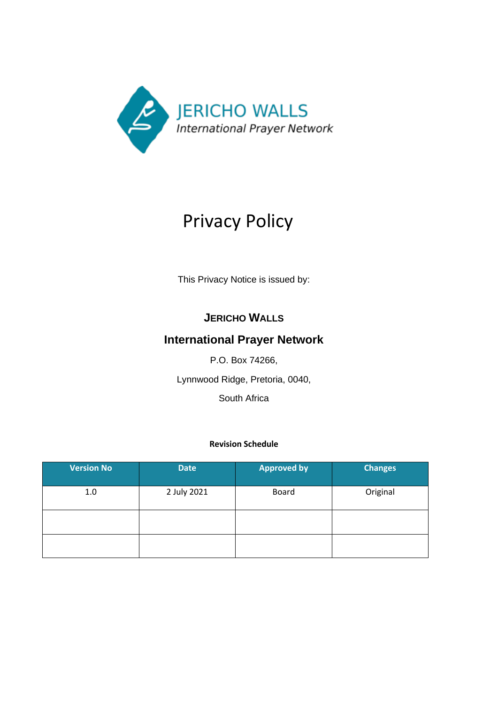

# Privacy Policy

This Privacy Notice is issued by:

# **JERICHO WALLS**

# **International Prayer Network**

P.O. Box 74266,

Lynnwood Ridge, Pretoria, 0040,

South Africa

# **Revision Schedule**

| <b>Version No</b> | <b>Date</b> | <b>Approved by</b> | <b>Changes</b> |
|-------------------|-------------|--------------------|----------------|
| 1.0               | 2 July 2021 | <b>Board</b>       | Original       |
|                   |             |                    |                |
|                   |             |                    |                |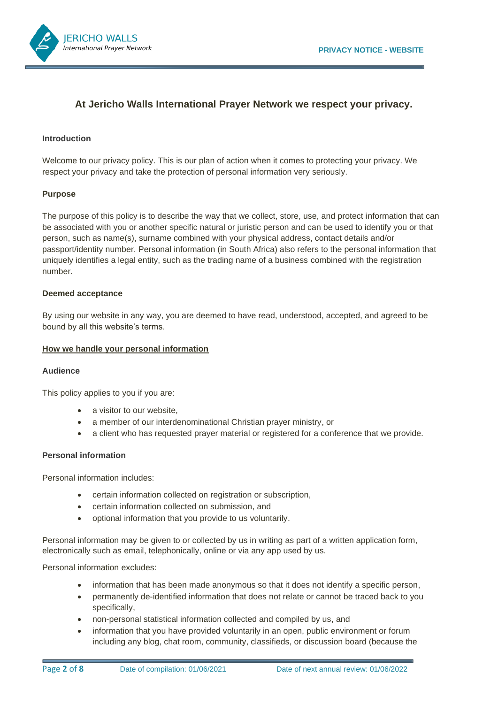

# **At Jericho Walls International Prayer Network we respect your privacy.**

#### **Introduction**

Welcome to our privacy policy. This is our plan of action when it comes to protecting your privacy. We respect your privacy and take the protection of personal information very seriously.

#### **Purpose**

The purpose of this policy is to describe the way that we collect, store, use, and protect information that can be associated with you or another specific natural or juristic person and can be used to identify you or that person, such as name(s), surname combined with your physical address, contact details and/or passport/identity number. Personal information (in South Africa) also refers to the personal information that uniquely identifies a legal entity, such as the trading name of a business combined with the registration number.

#### **Deemed acceptance**

By using our website in any way, you are deemed to have read, understood, accepted, and agreed to be bound by all this website's terms.

#### **How we handle your personal information**

#### **Audience**

This policy applies to you if you are:

- a visitor to our website.
- a member of our interdenominational Christian prayer ministry, or
- a client who has requested prayer material or registered for a conference that we provide.

#### **Personal information**

Personal information includes:

- certain information collected on registration or subscription,
- certain information collected on submission, and
- optional information that you provide to us voluntarily.

Personal information may be given to or collected by us in writing as part of a written application form, electronically such as email, telephonically, online or via any app used by us.

Personal information excludes:

- information that has been made anonymous so that it does not identify a specific person,
- permanently de-identified information that does not relate or cannot be traced back to you specifically,
- non-personal statistical information collected and compiled by us, and
- information that you have provided voluntarily in an open, public environment or forum including any blog, chat room, community, classifieds, or discussion board (because the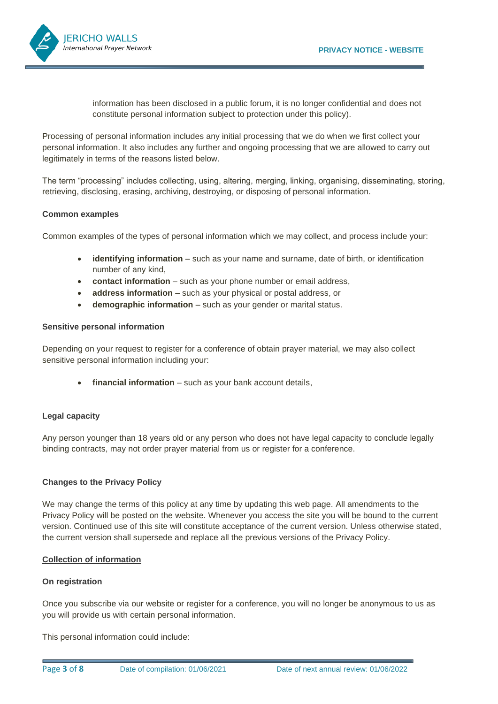

information has been disclosed in a public forum, it is no longer confidential and does not constitute personal information subject to protection under this policy).

Processing of personal information includes any initial processing that we do when we first collect your personal information. It also includes any further and ongoing processing that we are allowed to carry out legitimately in terms of the reasons listed below.

The term "processing" includes collecting, using, altering, merging, linking, organising, disseminating, storing, retrieving, disclosing, erasing, archiving, destroying, or disposing of personal information.

#### **Common examples**

Common examples of the types of personal information which we may collect, and process include your:

- **identifying information** such as your name and surname, date of birth, or identification number of any kind,
- **contact information** such as your phone number or email address,
- **address information** such as your physical or postal address, or
- **demographic information** such as your gender or marital status.

# **Sensitive personal information**

Depending on your request to register for a conference of obtain prayer material, we may also collect sensitive personal information including your:

financial information – such as your bank account details,

# **Legal capacity**

Any person younger than 18 years old or any person who does not have legal capacity to conclude legally binding contracts, may not order prayer material from us or register for a conference.

# **Changes to the Privacy Policy**

We may change the terms of this policy at any time by updating this web page. All amendments to the Privacy Policy will be posted on the website. Whenever you access the site you will be bound to the current version. Continued use of this site will constitute acceptance of the current version. Unless otherwise stated, the current version shall supersede and replace all the previous versions of the Privacy Policy.

#### **Collection of information**

#### **On registration**

Once you subscribe via our website or register for a conference, you will no longer be anonymous to us as you will provide us with certain personal information.

This personal information could include: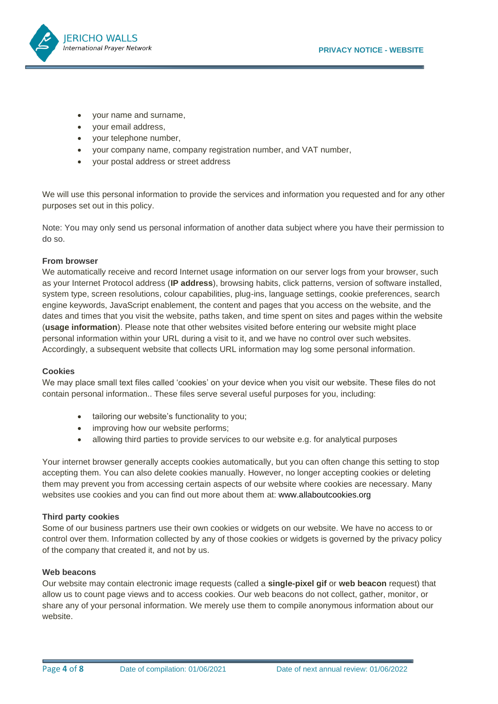

- your name and surname,
- your email address,
- your telephone number,
- your company name, company registration number, and VAT number,
- your postal address or street address

We will use this personal information to provide the services and information you requested and for any other purposes set out in this policy.

Note: You may only send us personal information of another data subject where you have their permission to do so.

#### **From browser**

We automatically receive and record Internet usage information on our server logs from your browser, such as your Internet Protocol address (**IP address**), browsing habits, click patterns, version of software installed, system type, screen resolutions, colour capabilities, plug-ins, language settings, cookie preferences, search engine keywords, JavaScript enablement, the content and pages that you access on the website, and the dates and times that you visit the website, paths taken, and time spent on sites and pages within the website (**usage information**). Please note that other websites visited before entering our website might place personal information within your URL during a visit to it, and we have no control over such websites. Accordingly, a subsequent website that collects URL information may log some personal information.

#### **Cookies**

We may place small text files called 'cookies' on your device when you visit our website. These files do not contain personal information.. These files serve several useful purposes for you, including:

- tailoring our website's functionality to you;
- improving how our website performs;
- allowing third parties to provide services to our website e.g. for analytical purposes

Your internet browser generally accepts cookies automatically, but you can often change this setting to stop accepting them. You can also delete cookies manually. However, no longer accepting cookies or deleting them may prevent you from accessing certain aspects of our website where cookies are necessary. Many websites use cookies and you can find out more about them at: [www.allaboutcookies.org](http://www.allaboutcookies.org/)

#### **Third party cookies**

Some of our business partners use their own cookies or widgets on our website. We have no access to or control over them. Information collected by any of those cookies or widgets is governed by the privacy policy of the company that created it, and not by us.

#### **Web beacons**

Our website may contain electronic image requests (called a **single-pixel gif** or **web beacon** request) that allow us to count page views and to access cookies. Our web beacons do not collect, gather, monitor, or share any of your personal information. We merely use them to compile anonymous information about our website.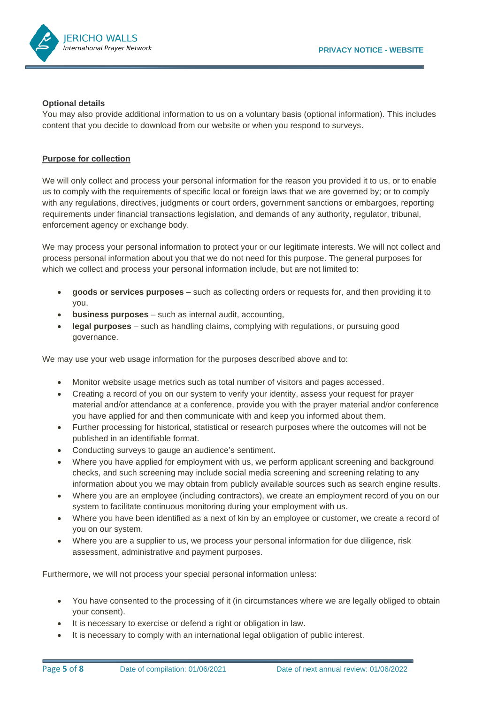

#### **Optional details**

You may also provide additional information to us on a voluntary basis (optional information). This includes content that you decide to download from our website or when you respond to surveys.

#### **Purpose for collection**

We will only collect and process your personal information for the reason you provided it to us, or to enable us to comply with the requirements of specific local or foreign laws that we are governed by; or to comply with any regulations, directives, judgments or court orders, government sanctions or embargoes, reporting requirements under financial transactions legislation, and demands of any authority, regulator, tribunal, enforcement agency or exchange body.

We may process your personal information to protect your or our legitimate interests. We will not collect and process personal information about you that we do not need for this purpose. The general purposes for which we collect and process your personal information include, but are not limited to:

- **goods or services purposes** such as collecting orders or requests for, and then providing it to you,
- **business purposes** such as internal audit, accounting,
- **legal purposes** such as handling claims, complying with regulations, or pursuing good governance.

We may use your web usage information for the purposes described above and to:

- Monitor website usage metrics such as total number of visitors and pages accessed.
- Creating a record of you on our system to verify your identity, assess your request for prayer material and/or attendance at a conference, provide you with the prayer material and/or conference you have applied for and then communicate with and keep you informed about them.
- Further processing for historical, statistical or research purposes where the outcomes will not be published in an identifiable format.
- Conducting surveys to gauge an audience's sentiment.
- Where you have applied for employment with us, we perform applicant screening and background checks, and such screening may include social media screening and screening relating to any information about you we may obtain from publicly available sources such as search engine results.
- Where you are an employee (including contractors), we create an employment record of you on our system to facilitate continuous monitoring during your employment with us.
- Where you have been identified as a next of kin by an employee or customer, we create a record of you on our system.
- Where you are a supplier to us, we process your personal information for due diligence, risk assessment, administrative and payment purposes.

Furthermore, we will not process your special personal information unless:

- You have consented to the processing of it (in circumstances where we are legally obliged to obtain your consent).
- It is necessary to exercise or defend a right or obligation in law.
- It is necessary to comply with an international legal obligation of public interest.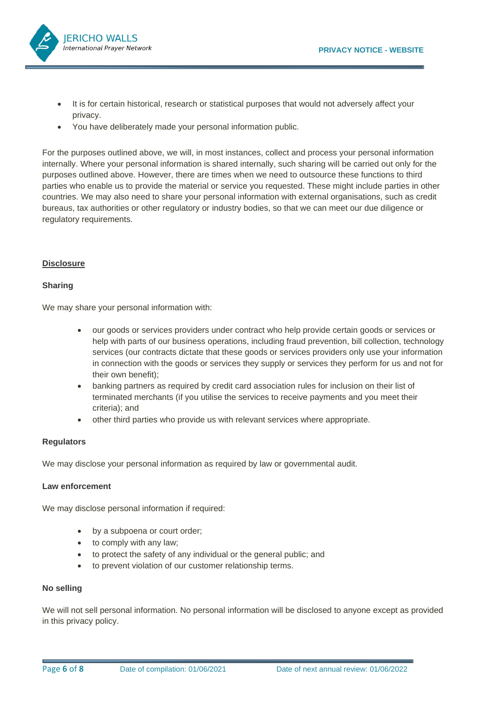

- It is for certain historical, research or statistical purposes that would not adversely affect your privacy.
- You have deliberately made your personal information public.

For the purposes outlined above, we will, in most instances, collect and process your personal information internally. Where your personal information is shared internally, such sharing will be carried out only for the purposes outlined above. However, there are times when we need to outsource these functions to third parties who enable us to provide the material or service you requested. These might include parties in other countries. We may also need to share your personal information with external organisations, such as credit bureaus, tax authorities or other regulatory or industry bodies, so that we can meet our due diligence or regulatory requirements.

#### **Disclosure**

#### **Sharing**

We may share your personal information with:

- our goods or services providers under contract who help provide certain goods or services or help with parts of our business operations, including fraud prevention, bill collection, technology services (our contracts dictate that these goods or services providers only use your information in connection with the goods or services they supply or services they perform for us and not for their own benefit);
- banking partners as required by credit card association rules for inclusion on their list of terminated merchants (if you utilise the services to receive payments and you meet their criteria); and
- other third parties who provide us with relevant services where appropriate.

#### **Regulators**

We may disclose your personal information as required by law or governmental audit.

# **Law enforcement**

We may disclose personal information if required:

- by a subpoena or court order;
- to comply with any law;
- to protect the safety of any individual or the general public; and
- to prevent violation of our customer relationship terms.

#### **No selling**

We will not sell personal information. No personal information will be disclosed to anyone except as provided in this privacy policy.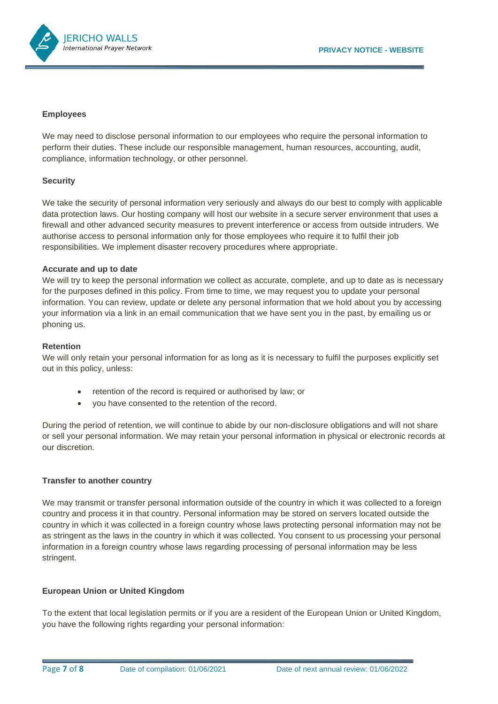

#### **Employees**

We may need to disclose personal information to our employees who require the personal information to perform their duties. These include our responsible management, human resources, accounting, audit, compliance, information technology, or other personnel.

# **Security**

We take the security of personal information very seriously and always do our best to comply with applicable data protection laws. Our hosting company will host our website in a secure server environment that uses a firewall and other advanced security measures to prevent interference or access from outside intruders. We authorise access to personal information only for those employees who require it to fulfil their job responsibilities. We implement disaster recovery procedures where appropriate.

#### **Accurate and up to date**

We will try to keep the personal information we collect as accurate, complete, and up to date as is necessary for the purposes defined in this policy. From time to time, we may request you to update your personal information. You can review, update or delete any personal information that we hold about you by accessing your information via a link in an email communication that we have sent you in the past, by emailing us or phoning us.

#### **Retention**

We will only retain your personal information for as long as it is necessary to fulfil the purposes explicitly set out in this policy, unless:

- retention of the record is required or authorised by law; or
- you have consented to the retention of the record.

During the period of retention, we will continue to abide by our non-disclosure obligations and will not share or sell your personal information. We may retain your personal information in physical or electronic records at our discretion.

# **Transfer to another country**

We may transmit or transfer personal information outside of the country in which it was collected to a foreign country and process it in that country. Personal information may be stored on servers located outside the country in which it was collected in a foreign country whose laws protecting personal information may not be as stringent as the laws in the country in which it was collected. You consent to us processing your personal information in a foreign country whose laws regarding processing of personal information may be less stringent.

# **European Union or United Kingdom**

To the extent that local legislation permits or if you are a resident of the European Union or United Kingdom, you have the following rights regarding your personal information: